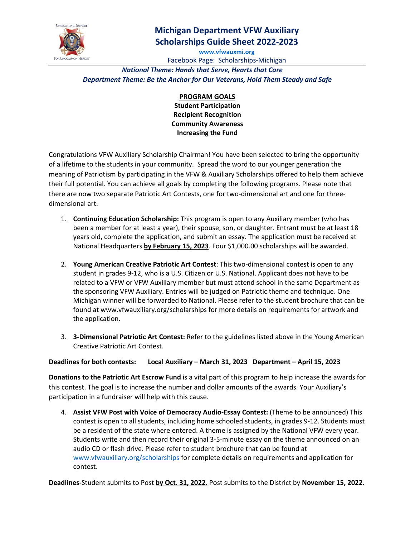

# **Michigan Department VFW Auxiliary Scholarships Guide Sheet 2022-2023**

**[www.vfwauxmi.org](http://www.vfwauxmi.org/)**

Facebook Page: Scholarships-Michigan *National Theme: Hands that Serve, Hearts that Care*

*Department Theme: Be the Anchor for Our Veterans, Hold Them Steady and Safe*

**PROGRAM GOALS Student Participation Recipient Recognition Community Awareness Increasing the Fund**

Congratulations VFW Auxiliary Scholarship Chairman! You have been selected to bring the opportunity of a lifetime to the students in your community. Spread the word to our younger generation the meaning of Patriotism by participating in the VFW & Auxiliary Scholarships offered to help them achieve their full potential. You can achieve all goals by completing the following programs. Please note that there are now two separate Patriotic Art Contests, one for two-dimensional art and one for threedimensional art.

- 1. **Continuing Education Scholarship:** This program is open to any Auxiliary member (who has been a member for at least a year), their spouse, son, or daughter. Entrant must be at least 18 years old, complete the application, and submit an essay. The application must be received at National Headquarters **by February 15, 2023**. Four \$1,000.00 scholarships will be awarded.
- 2. **Young American Creative Patriotic Art Contest**: This two-dimensional contest is open to any student in grades 9-12, who is a U.S. Citizen or U.S. National. Applicant does not have to be related to a VFW or VFW Auxiliary member but must attend school in the same Department as the sponsoring VFW Auxiliary. Entries will be judged on Patriotic theme and technique. One Michigan winner will be forwarded to National. Please refer to the student brochure that can be found at www.vfwauxiliary.org/scholarships for more details on requirements for artwork and the application.
- 3. **3-Dimensional Patriotic Art Contest:** Refer to the guidelines listed above in the Young American Creative Patriotic Art Contest.

### **Deadlines for both contests: Local Auxiliary – March 31, 2023 Department – April 15, 2023**

**Donations to the Patriotic Art Escrow Fund** is a vital part of this program to help increase the awards for this contest. The goal is to increase the number and dollar amounts of the awards. Your Auxiliary's participation in a fundraiser will help with this cause.

4. **Assist VFW Post with Voice of Democracy Audio-Essay Contest:** (Theme to be announced) This contest is open to all students, including home schooled students, in grades 9-12. Students must be a resident of the state where entered. A theme is assigned by the National VFW every year. Students write and then record their original 3-5-minute essay on the theme announced on an audio CD or flash drive. Please refer to student brochure that can be found at [www.vfwauxiliary.org/scholarships](http://www.vfwauxiliary.org/scholarships) for complete details on requirements and application for contest.

**Deadlines-**Student submits to Post **by Oct. 31, 2022.** Post submits to the District by **November 15, 2022.**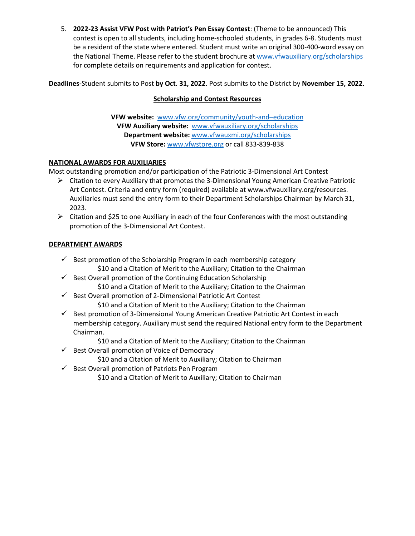5. **2022-23 Assist VFW Post with Patriot's Pen Essay Contest**: (Theme to be announced) This contest is open to all students, including home-schooled students, in grades 6-8. Students must be a resident of the state where entered. Student must write an original 300-400-word essay on the National Theme. Please refer to the student brochure at [www.vfwauxiliary.org/scholarships](http://www.vfwauxiliary.org/scholarships) for complete details on requirements and application for contest.

**Deadlines-**Student submits to Post **by Oct. 31, 2022.** Post submits to the District by **November 15, 2022.**

### **Scholarship and Contest Resources**

**VFW website:** [www.vfw.org/community/youth-and–education](http://www.vfw.org/community/youth-and%E2%80%93education) **VFW Auxiliary website:** [www.vfwauxiliary.org/scholarships](http://www.vfwauxiliary.org/scholarships) **Department website:** [www.vfwauxmi.org/scholarships](http://www.vfwauxmi.org/scholarships) **VFW Store:** [www.vfwstore.org](http://www.vfwstore.org/) or call 833-839-838

### **NATIONAL AWARDS FOR AUXILIARIES**

Most outstanding promotion and/or participation of the Patriotic 3-Dimensional Art Contest

- $\triangleright$  Citation to every Auxiliary that promotes the 3-Dimensional Young American Creative Patriotic Art Contest. Criteria and entry form (required) available at www.vfwauxiliary.org/resources. Auxiliaries must send the entry form to their Department Scholarships Chairman by March 31, 2023.
- $\triangleright$  Citation and \$25 to one Auxiliary in each of the four Conferences with the most outstanding promotion of the 3-Dimensional Art Contest.

#### **DEPARTMENT AWARDS**

- $\checkmark$  Best promotion of the Scholarship Program in each membership category \$10 and a Citation of Merit to the Auxiliary; Citation to the Chairman
- $\checkmark$  Best Overall promotion of the Continuing Education Scholarship \$10 and a Citation of Merit to the Auxiliary; Citation to the Chairman
- $\checkmark$  Best Overall promotion of 2-Dimensional Patriotic Art Contest

\$10 and a Citation of Merit to the Auxiliary; Citation to the Chairman

 $\checkmark$  Best promotion of 3-Dimensional Young American Creative Patriotic Art Contest in each membership category. Auxiliary must send the required National entry form to the Department Chairman.

\$10 and a Citation of Merit to the Auxiliary; Citation to the Chairman

 $\checkmark$  Best Overall promotion of Voice of Democracy

\$10 and a Citation of Merit to Auxiliary; Citation to Chairman

 $\checkmark$  Best Overall promotion of Patriots Pen Program

\$10 and a Citation of Merit to Auxiliary; Citation to Chairman